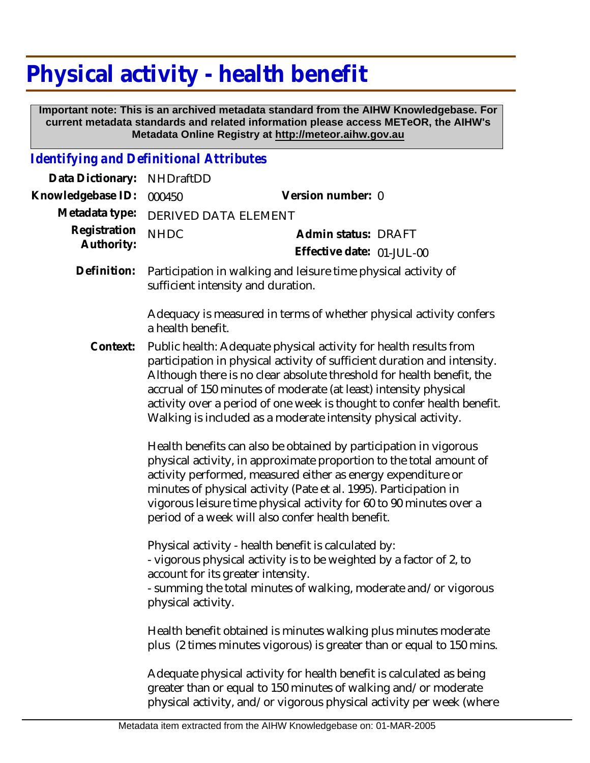## **Physical activity - health benefit**

 **Important note: This is an archived metadata standard from the AIHW Knowledgebase. For current metadata standards and related information please access METeOR, the AIHW's Metadata Online Registry at http://meteor.aihw.gov.au**

*Identifying and Definitional Attributes*

| Data Dictionary:           | <b>NHDraftDD</b>                                                                                                                                                                                                                                                                                                                                                                                                                        |                                                                                                                                                                                                                 |  |
|----------------------------|-----------------------------------------------------------------------------------------------------------------------------------------------------------------------------------------------------------------------------------------------------------------------------------------------------------------------------------------------------------------------------------------------------------------------------------------|-----------------------------------------------------------------------------------------------------------------------------------------------------------------------------------------------------------------|--|
| Knowledgebase ID:          | 000450                                                                                                                                                                                                                                                                                                                                                                                                                                  | Version number: 0                                                                                                                                                                                               |  |
| Metadata type:             | DERIVED DATA ELEMENT                                                                                                                                                                                                                                                                                                                                                                                                                    |                                                                                                                                                                                                                 |  |
| Registration<br>Authority: | <b>NHDC</b>                                                                                                                                                                                                                                                                                                                                                                                                                             | Admin status: DRAFT                                                                                                                                                                                             |  |
|                            |                                                                                                                                                                                                                                                                                                                                                                                                                                         | Effective date: 01-JUL-00                                                                                                                                                                                       |  |
| Definition:                | sufficient intensity and duration.                                                                                                                                                                                                                                                                                                                                                                                                      | Participation in walking and leisure time physical activity of                                                                                                                                                  |  |
|                            | a health benefit.                                                                                                                                                                                                                                                                                                                                                                                                                       | Adequacy is measured in terms of whether physical activity confers                                                                                                                                              |  |
| Context:                   | Public health: Adequate physical activity for health results from<br>participation in physical activity of sufficient duration and intensity.<br>Although there is no clear absolute threshold for health benefit, the<br>accrual of 150 minutes of moderate (at least) intensity physical<br>activity over a period of one week is thought to confer health benefit.<br>Walking is included as a moderate intensity physical activity. |                                                                                                                                                                                                                 |  |
|                            | Health benefits can also be obtained by participation in vigorous<br>physical activity, in approximate proportion to the total amount of<br>activity performed, measured either as energy expenditure or<br>minutes of physical activity (Pate et al. 1995). Participation in<br>vigorous leisure time physical activity for 60 to 90 minutes over a<br>period of a week will also confer health benefit.                               |                                                                                                                                                                                                                 |  |
|                            | account for its greater intensity.<br>physical activity.                                                                                                                                                                                                                                                                                                                                                                                | Physical activity - health benefit is calculated by:<br>- vigorous physical activity is to be weighted by a factor of 2, to<br>- summing the total minutes of walking, moderate and/or vigorous                 |  |
|                            |                                                                                                                                                                                                                                                                                                                                                                                                                                         | Health benefit obtained is minutes walking plus minutes moderate<br>plus (2 times minutes vigorous) is greater than or equal to 150 mins.                                                                       |  |
|                            |                                                                                                                                                                                                                                                                                                                                                                                                                                         | Adequate physical activity for health benefit is calculated as being<br>greater than or equal to 150 minutes of walking and/or moderate<br>physical activity, and/or vigorous physical activity per week (where |  |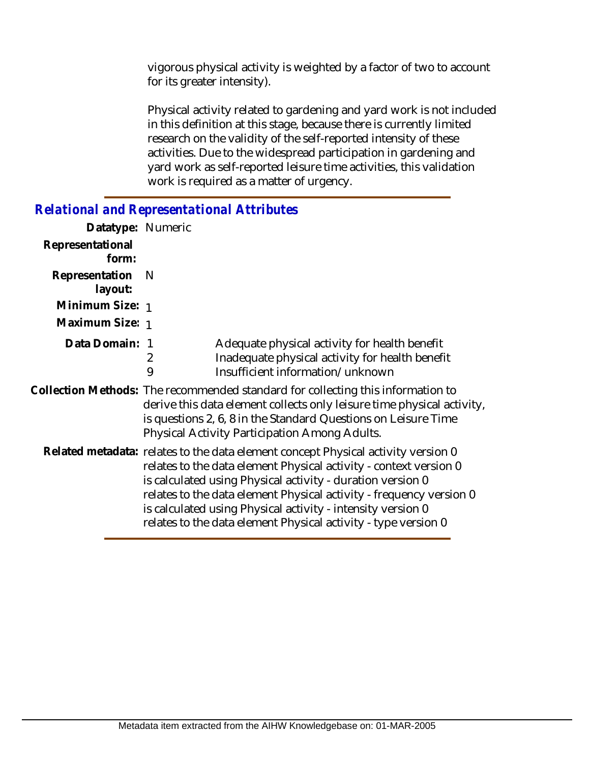vigorous physical activity is weighted by a factor of two to account for its greater intensity).

Physical activity related to gardening and yard work is not included in this definition at this stage, because there is currently limited research on the validity of the self-reported intensity of these activities. Due to the widespread participation in gardening and yard work as self-reported leisure time activities, this validation work is required as a matter of urgency.

## *Relational and Representational Attributes*

| Datatype: Numeric         |                                                                                                                                                                                                                                                                                                                                                                                                                              |                                                                                                                                      |
|---------------------------|------------------------------------------------------------------------------------------------------------------------------------------------------------------------------------------------------------------------------------------------------------------------------------------------------------------------------------------------------------------------------------------------------------------------------|--------------------------------------------------------------------------------------------------------------------------------------|
| Representational<br>form: |                                                                                                                                                                                                                                                                                                                                                                                                                              |                                                                                                                                      |
| Representation<br>layout: | - N                                                                                                                                                                                                                                                                                                                                                                                                                          |                                                                                                                                      |
| Minimum Size: 1           |                                                                                                                                                                                                                                                                                                                                                                                                                              |                                                                                                                                      |
| Maximum Size: 1           |                                                                                                                                                                                                                                                                                                                                                                                                                              |                                                                                                                                      |
| Data Domain: 1            | 2<br>9                                                                                                                                                                                                                                                                                                                                                                                                                       | Adequate physical activity for health benefit<br>Inadequate physical activity for health benefit<br>Insufficient information/unknown |
|                           | Collection Methods: The recommended standard for collecting this information to<br>derive this data element collects only leisure time physical activity,<br>is questions 2, 6, 8 in the Standard Questions on Leisure Time<br>Physical Activity Participation Among Adults.                                                                                                                                                 |                                                                                                                                      |
|                           | Related metadata: relates to the data element concept Physical activity version 0<br>relates to the data element Physical activity - context version 0<br>is calculated using Physical activity - duration version 0<br>relates to the data element Physical activity - frequency version 0<br>is calculated using Physical activity - intensity version 0<br>relates to the data element Physical activity - type version 0 |                                                                                                                                      |
|                           |                                                                                                                                                                                                                                                                                                                                                                                                                              |                                                                                                                                      |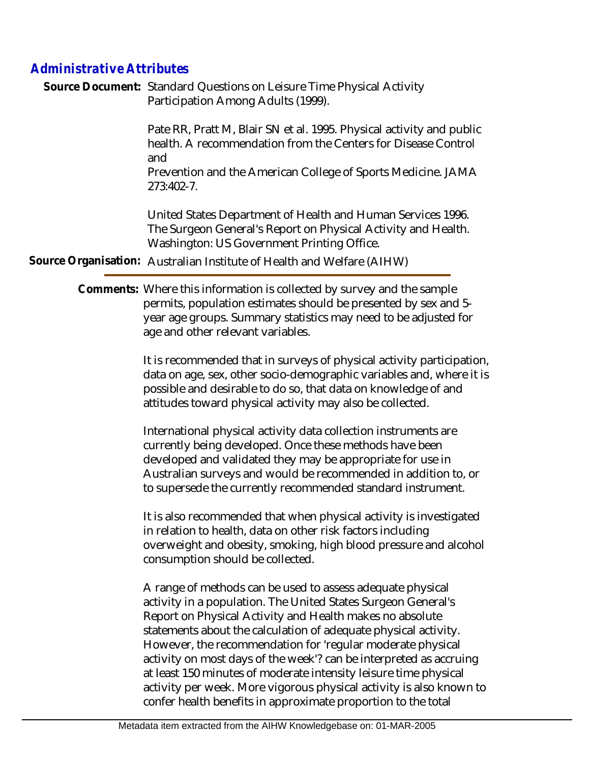## *Administrative Attributes*

Source Document: Standard Questions on Leisure Time Physical Activity Participation Among Adults (1999).

> Pate RR, Pratt M, Blair SN et al. 1995. Physical activity and public health. A recommendation from the Centers for Disease Control and

> Prevention and the American College of Sports Medicine. JAMA 273:402-7.

United States Department of Health and Human Services 1996. The Surgeon General's Report on Physical Activity and Health. Washington: US Government Printing Office.

**Source Organisation:** Australian Institute of Health and Welfare (AIHW)

Comments: Where this information is collected by survey and the sample permits, population estimates should be presented by sex and 5 year age groups. Summary statistics may need to be adjusted for age and other relevant variables.

> It is recommended that in surveys of physical activity participation, data on age, sex, other socio-demographic variables and, where it is possible and desirable to do so, that data on knowledge of and attitudes toward physical activity may also be collected.

International physical activity data collection instruments are currently being developed. Once these methods have been developed and validated they may be appropriate for use in Australian surveys and would be recommended in addition to, or to supersede the currently recommended standard instrument.

It is also recommended that when physical activity is investigated in relation to health, data on other risk factors including overweight and obesity, smoking, high blood pressure and alcohol consumption should be collected.

A range of methods can be used to assess adequate physical activity in a population. The United States Surgeon General's Report on Physical Activity and Health makes no absolute statements about the calculation of adequate physical activity. However, the recommendation for 'regular moderate physical activity on most days of the week'? can be interpreted as accruing at least 150 minutes of moderate intensity leisure time physical activity per week. More vigorous physical activity is also known to confer health benefits in approximate proportion to the total